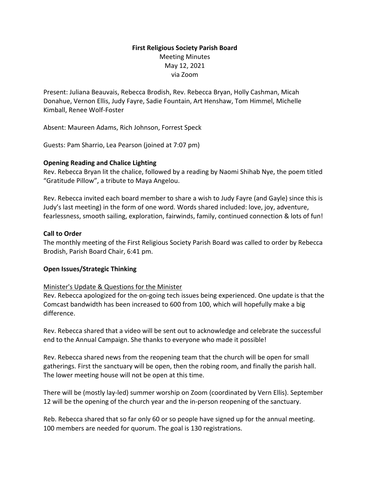# **First Religious Society Parish Board** Meeting Minutes May 12, 2021 via Zoom

Present: Juliana Beauvais, Rebecca Brodish, Rev. Rebecca Bryan, Holly Cashman, Micah Donahue, Vernon Ellis, Judy Fayre, Sadie Fountain, Art Henshaw, Tom Himmel, Michelle Kimball, Renee Wolf-Foster

Absent: Maureen Adams, Rich Johnson, Forrest Speck

Guests: Pam Sharrio, Lea Pearson (joined at 7:07 pm)

### **Opening Reading and Chalice Lighting**

Rev. Rebecca Bryan lit the chalice, followed by a reading by Naomi Shihab Nye, the poem titled "Gratitude Pillow", a tribute to Maya Angelou.

Rev. Rebecca invited each board member to share a wish to Judy Fayre (and Gayle) since this is Judy's last meeting) in the form of one word. Words shared included: love, joy, adventure, fearlessness, smooth sailing, exploration, fairwinds, family, continued connection & lots of fun!

### **Call to Order**

The monthly meeting of the First Religious Society Parish Board was called to order by Rebecca Brodish, Parish Board Chair, 6:41 pm.

#### **Open Issues/Strategic Thinking**

#### Minister's Update & Questions for the Minister

Rev. Rebecca apologized for the on-going tech issues being experienced. One update is that the Comcast bandwidth has been increased to 600 from 100, which will hopefully make a big difference.

Rev. Rebecca shared that a video will be sent out to acknowledge and celebrate the successful end to the Annual Campaign. She thanks to everyone who made it possible!

Rev. Rebecca shared news from the reopening team that the church will be open for small gatherings. First the sanctuary will be open, then the robing room, and finally the parish hall. The lower meeting house will not be open at this time.

There will be (mostly lay-led) summer worship on Zoom (coordinated by Vern Ellis). September 12 will be the opening of the church year and the in-person reopening of the sanctuary.

Reb. Rebecca shared that so far only 60 or so people have signed up for the annual meeting. 100 members are needed for quorum. The goal is 130 registrations.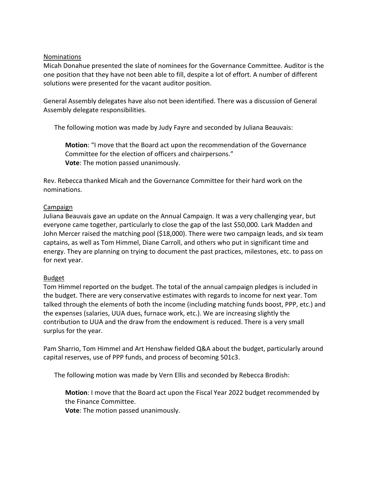#### Nominations

Micah Donahue presented the slate of nominees for the Governance Committee. Auditor is the one position that they have not been able to fill, despite a lot of effort. A number of different solutions were presented for the vacant auditor position.

General Assembly delegates have also not been identified. There was a discussion of General Assembly delegate responsibilities.

The following motion was made by Judy Fayre and seconded by Juliana Beauvais:

**Motion**: "I move that the Board act upon the recommendation of the Governance Committee for the election of officers and chairpersons." **Vote**: The motion passed unanimously.

Rev. Rebecca thanked Micah and the Governance Committee for their hard work on the nominations.

#### Campaign

Juliana Beauvais gave an update on the Annual Campaign. It was a very challenging year, but everyone came together, particularly to close the gap of the last \$50,000. Lark Madden and John Mercer raised the matching pool (\$18,000). There were two campaign leads, and six team captains, as well as Tom Himmel, Diane Carroll, and others who put in significant time and energy. They are planning on trying to document the past practices, milestones, etc. to pass on for next year.

## Budget

Tom Himmel reported on the budget. The total of the annual campaign pledges is included in the budget. There are very conservative estimates with regards to income for next year. Tom talked through the elements of both the income (including matching funds boost, PPP, etc.) and the expenses (salaries, UUA dues, furnace work, etc.). We are increasing slightly the contribution to UUA and the draw from the endowment is reduced. There is a very small surplus for the year.

Pam Sharrio, Tom Himmel and Art Henshaw fielded Q&A about the budget, particularly around capital reserves, use of PPP funds, and process of becoming 501c3.

The following motion was made by Vern Ellis and seconded by Rebecca Brodish:

**Motion**: I move that the Board act upon the Fiscal Year 2022 budget recommended by the Finance Committee.

**Vote**: The motion passed unanimously.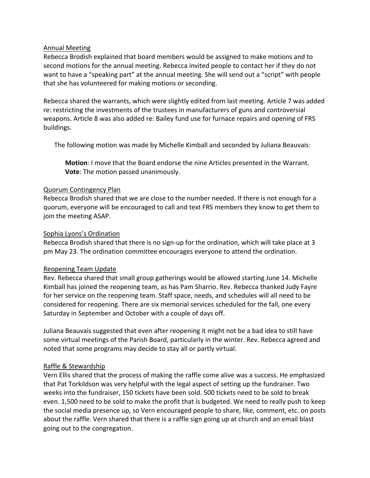### Annual Meeting

Rebecca Brodish explained that board members would be assigned to make motions and to second motions for the annual meeting. Rebecca invited people to contact her if they do not want to have a "speaking part" at the annual meeting. She will send out a "script" with people that she has volunteered for making motions or seconding.

Rebecca shared the warrants, which were slightly edited from last meeting. Article 7 was added re: restricting the investments of the trustees in manufacturers of guns and controversial weapons. Article 8 was also added re: Bailey fund use for furnace repairs and opening of FRS buildings.

The following motion was made by Michelle Kimball and seconded by Juliana Beauvais:

**Motion**: I move that the Board endorse the nine Articles presented in the Warrant. **Vote**: The motion passed unanimously.

### Quorum Contingency Plan

Rebecca Brodish shared that we are close to the number needed. If there is not enough for a quorum, everyone will be encouraged to call and text FRS members they know to get them to join the meeting ASAP.

### Sophia Lyons's Ordination

Rebecca Brodish shared that there is no sign-up for the ordination, which will take place at 3 pm May 23. The ordination committee encourages everyone to attend the ordination.

#### Reopening Team Update

Rev. Rebecca shared that small group gatherings would be allowed starting June 14. Michelle Kimball has joined the reopening team, as has Pam Sharrio. Rev. Rebecca thanked Judy Fayre for her service on the reopening team. Staff space, needs, and schedules will all need to be considered for reopening. There are six memorial services scheduled for the fall, one every Saturday in September and October with a couple of days off.

Juliana Beauvais suggested that even after reopening it might not be a bad idea to still have some virtual meetings of the Parish Board, particularly in the winter. Rev. Rebecca agreed and noted that some programs may decide to stay all or partly virtual.

## Raffle & Stewardship

Vern Ellis shared that the process of making the raffle come alive was a success. He emphasized that Pat Torkildson was very helpful with the legal aspect of setting up the fundraiser. Two weeks into the fundraiser, 150 tickets have been sold. 500 tickets need to be sold to break even. 1,500 need to be sold to make the profit that is budgeted. We need to really push to keep the social media presence up, so Vern encouraged people to share, like, comment, etc. on posts about the raffle. Vern shared that there is a raffle sign going up at church and an email blast going out to the congregation.